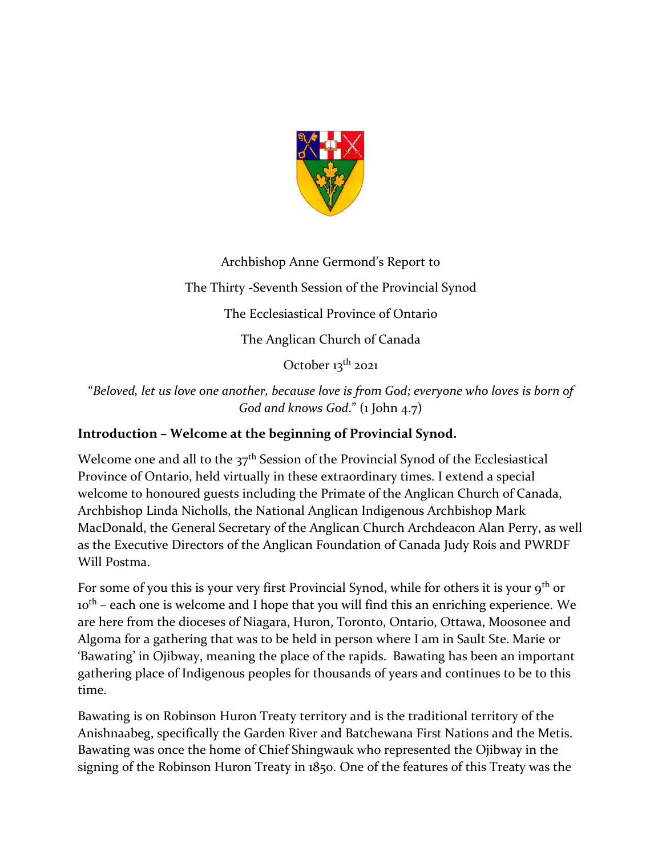

Archbishop Anne Germond's Report to The Thirty -Seventh Session of the Provincial Synod The Ecclesiastical Province of Ontario The Anglican Church of Canada October 13<sup>th</sup> 2021

"*Beloved, let us love one another, because love is from God; everyone who loves is born of God and knows God*." (1 John 4.7)

# **Introduction – Welcome at the beginning of Provincial Synod.**

Welcome one and all to the  $37<sup>th</sup>$  Session of the Provincial Synod of the Ecclesiastical Province of Ontario, held virtually in these extraordinary times. I extend a special welcome to honoured guests including the Primate of the Anglican Church of Canada, Archbishop Linda Nicholls, the National Anglican Indigenous Archbishop Mark MacDonald, the General Secretary of the Anglican Church Archdeacon Alan Perry, as well as the Executive Directors of the Anglican Foundation of Canada Judy Rois and PWRDF Will Postma.

For some of you this is your very first Provincial Synod, while for others it is your  $9<sup>th</sup>$  or 10<sup>th</sup> – each one is welcome and I hope that you will find this an enriching experience. We are here from the dioceses of Niagara, Huron, Toronto, Ontario, Ottawa, Moosonee and Algoma for a gathering that was to be held in person where I am in Sault Ste. Marie or 'Bawating' in Ojibway, meaning the place of the rapids. Bawating has been an important gathering place of Indigenous peoples for thousands of years and continues to be to this time.

Bawating is on Robinson Huron Treaty territory and is the traditional territory of the Anishnaabeg, specifically the Garden River and Batchewana First Nations and the Metis. Bawating was once the home of Chief Shingwauk who represented the Ojibway in the signing of the Robinson Huron Treaty in 1850. One of the features of this Treaty was the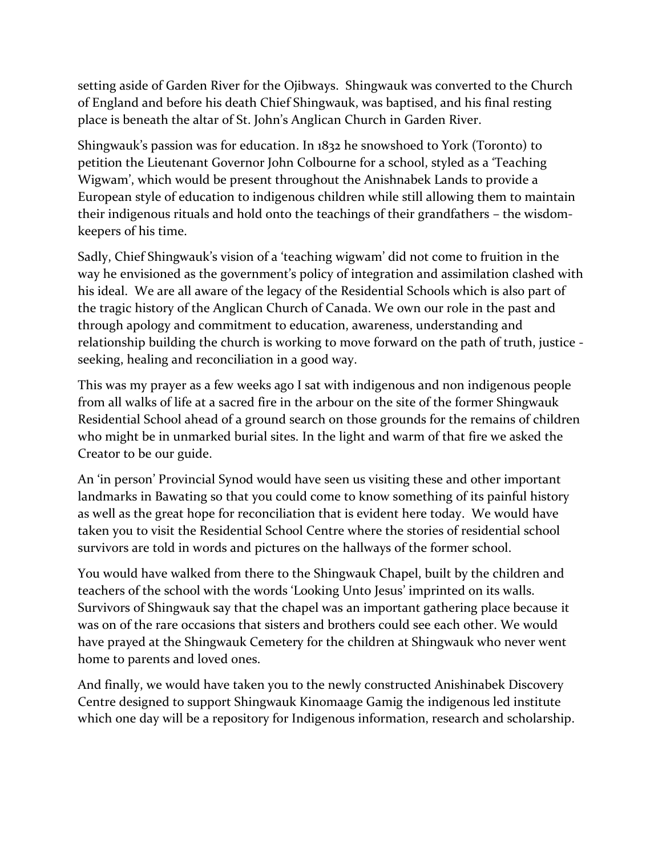setting aside of Garden River for the Ojibways. Shingwauk was converted to the Church of England and before his death Chief Shingwauk, was baptised, and his final resting place is beneath the altar of St. John's Anglican Church in Garden River.

Shingwauk's passion was for education. In 1832 he snowshoed to York (Toronto) to petition the Lieutenant Governor John Colbourne for a school, styled as a 'Teaching Wigwam', which would be present throughout the Anishnabek Lands to provide a European style of education to indigenous children while still allowing them to maintain their indigenous rituals and hold onto the teachings of their grandfathers – the wisdomkeepers of his time.

Sadly, Chief Shingwauk's vision of a 'teaching wigwam' did not come to fruition in the way he envisioned as the government's policy of integration and assimilation clashed with his ideal. We are all aware of the legacy of the Residential Schools which is also part of the tragic history of the Anglican Church of Canada. We own our role in the past and through apology and commitment to education, awareness, understanding and relationship building the church is working to move forward on the path of truth, justice seeking, healing and reconciliation in a good way.

This was my prayer as a few weeks ago I sat with indigenous and non indigenous people from all walks of life at a sacred fire in the arbour on the site of the former Shingwauk Residential School ahead of a ground search on those grounds for the remains of children who might be in unmarked burial sites. In the light and warm of that fire we asked the Creator to be our guide.

An 'in person' Provincial Synod would have seen us visiting these and other important landmarks in Bawating so that you could come to know something of its painful history as well as the great hope for reconciliation that is evident here today. We would have taken you to visit the Residential School Centre where the stories of residential school survivors are told in words and pictures on the hallways of the former school.

You would have walked from there to the Shingwauk Chapel, built by the children and teachers of the school with the words 'Looking Unto Jesus' imprinted on its walls. Survivors of Shingwauk say that the chapel was an important gathering place because it was on of the rare occasions that sisters and brothers could see each other. We would have prayed at the Shingwauk Cemetery for the children at Shingwauk who never went home to parents and loved ones.

And finally, we would have taken you to the newly constructed Anishinabek Discovery Centre designed to support Shingwauk Kinomaage Gamig the indigenous led institute which one day will be a repository for Indigenous information, research and scholarship.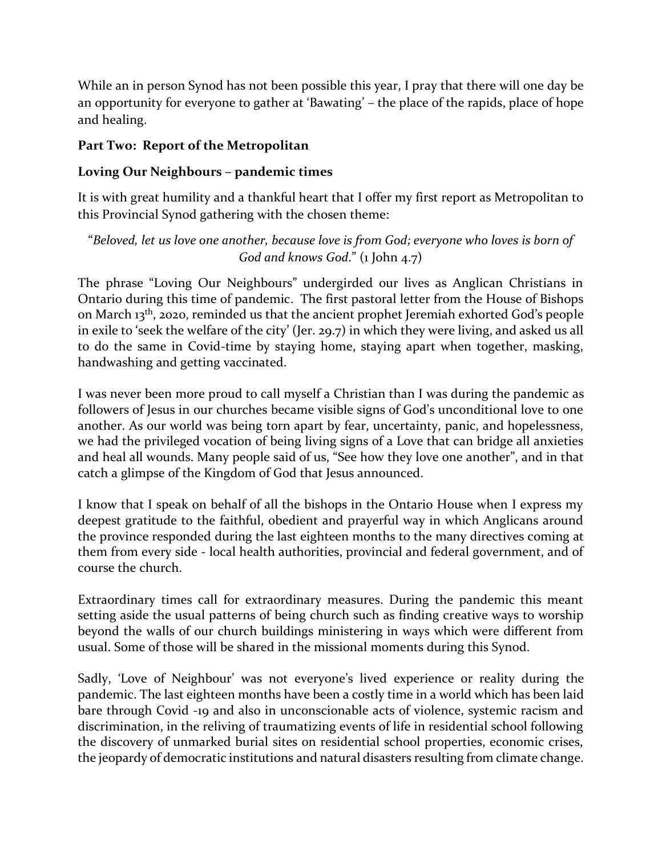While an in person Synod has not been possible this year, I pray that there will one day be an opportunity for everyone to gather at 'Bawating' – the place of the rapids, place of hope and healing.

#### **Part Two: Report of the Metropolitan**

## **Loving Our Neighbours – pandemic times**

It is with great humility and a thankful heart that I offer my first report as Metropolitan to this Provincial Synod gathering with the chosen theme:

"*Beloved, let us love one another, because love is from God; everyone who loves is born of God and knows God*." (1 John 4.7)

The phrase "Loving Our Neighbours" undergirded our lives as Anglican Christians in Ontario during this time of pandemic. The first pastoral letter from the House of Bishops on March 13th, 2020, reminded us that the ancient prophet Jeremiah exhorted God's people in exile to 'seek the welfare of the city' (Jer. 29.7) in which they were living, and asked us all to do the same in Covid-time by staying home, staying apart when together, masking, handwashing and getting vaccinated.

I was never been more proud to call myself a Christian than I was during the pandemic as followers of Jesus in our churches became visible signs of God's unconditional love to one another. As our world was being torn apart by fear, uncertainty, panic, and hopelessness, we had the privileged vocation of being living signs of a Love that can bridge all anxieties and heal all wounds. Many people said of us, "See how they love one another", and in that catch a glimpse of the Kingdom of God that Jesus announced.

I know that I speak on behalf of all the bishops in the Ontario House when I express my deepest gratitude to the faithful, obedient and prayerful way in which Anglicans around the province responded during the last eighteen months to the many directives coming at them from every side - local health authorities, provincial and federal government, and of course the church.

Extraordinary times call for extraordinary measures. During the pandemic this meant setting aside the usual patterns of being church such as finding creative ways to worship beyond the walls of our church buildings ministering in ways which were different from usual. Some of those will be shared in the missional moments during this Synod.

Sadly, 'Love of Neighbour' was not everyone's lived experience or reality during the pandemic. The last eighteen months have been a costly time in a world which has been laid bare through Covid -19 and also in unconscionable acts of violence, systemic racism and discrimination, in the reliving of traumatizing events of life in residential school following the discovery of unmarked burial sites on residential school properties, economic crises, the jeopardy of democratic institutions and natural disasters resulting from climate change.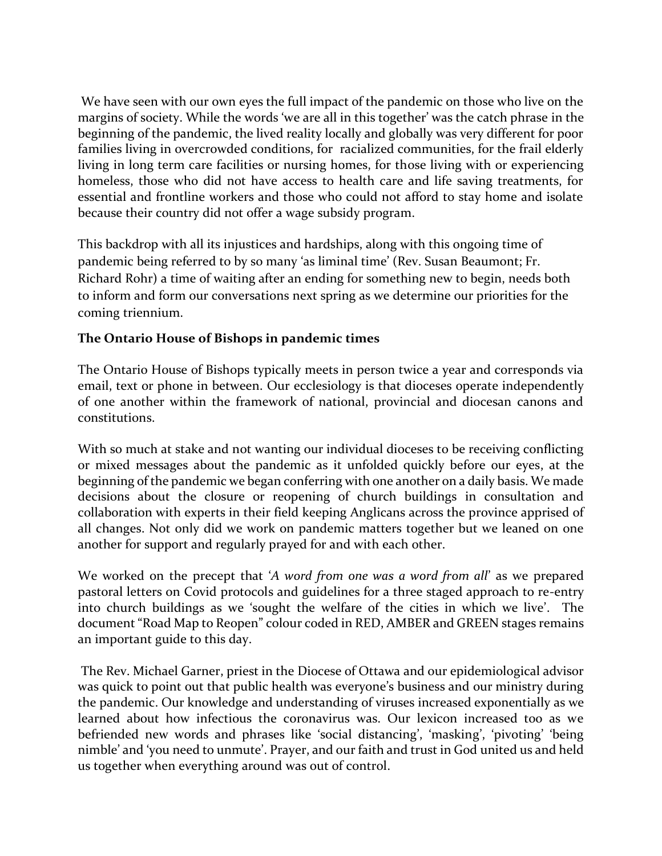We have seen with our own eyes the full impact of the pandemic on those who live on the margins of society. While the words 'we are all in this together' was the catch phrase in the beginning of the pandemic, the lived reality locally and globally was very different for poor families living in overcrowded conditions, for racialized communities, for the frail elderly living in long term care facilities or nursing homes, for those living with or experiencing homeless, those who did not have access to health care and life saving treatments, for essential and frontline workers and those who could not afford to stay home and isolate because their country did not offer a wage subsidy program.

This backdrop with all its injustices and hardships, along with this ongoing time of pandemic being referred to by so many 'as liminal time' (Rev. Susan Beaumont; Fr. Richard Rohr) a time of waiting after an ending for something new to begin, needs both to inform and form our conversations next spring as we determine our priorities for the coming triennium.

### **The Ontario House of Bishops in pandemic times**

The Ontario House of Bishops typically meets in person twice a year and corresponds via email, text or phone in between. Our ecclesiology is that dioceses operate independently of one another within the framework of national, provincial and diocesan canons and constitutions.

With so much at stake and not wanting our individual dioceses to be receiving conflicting or mixed messages about the pandemic as it unfolded quickly before our eyes, at the beginning of the pandemic we began conferring with one another on a daily basis. We made decisions about the closure or reopening of church buildings in consultation and collaboration with experts in their field keeping Anglicans across the province apprised of all changes. Not only did we work on pandemic matters together but we leaned on one another for support and regularly prayed for and with each other.

We worked on the precept that '*A word from one was a word from all*' as we prepared pastoral letters on Covid protocols and guidelines for a three staged approach to re-entry into church buildings as we 'sought the welfare of the cities in which we live'. The document "Road Map to Reopen" colour coded in RED, AMBER and GREEN stages remains an important guide to this day.

The Rev. Michael Garner, priest in the Diocese of Ottawa and our epidemiological advisor was quick to point out that public health was everyone's business and our ministry during the pandemic. Our knowledge and understanding of viruses increased exponentially as we learned about how infectious the coronavirus was. Our lexicon increased too as we befriended new words and phrases like 'social distancing', 'masking', 'pivoting' 'being nimble' and 'you need to unmute'. Prayer, and our faith and trust in God united us and held us together when everything around was out of control.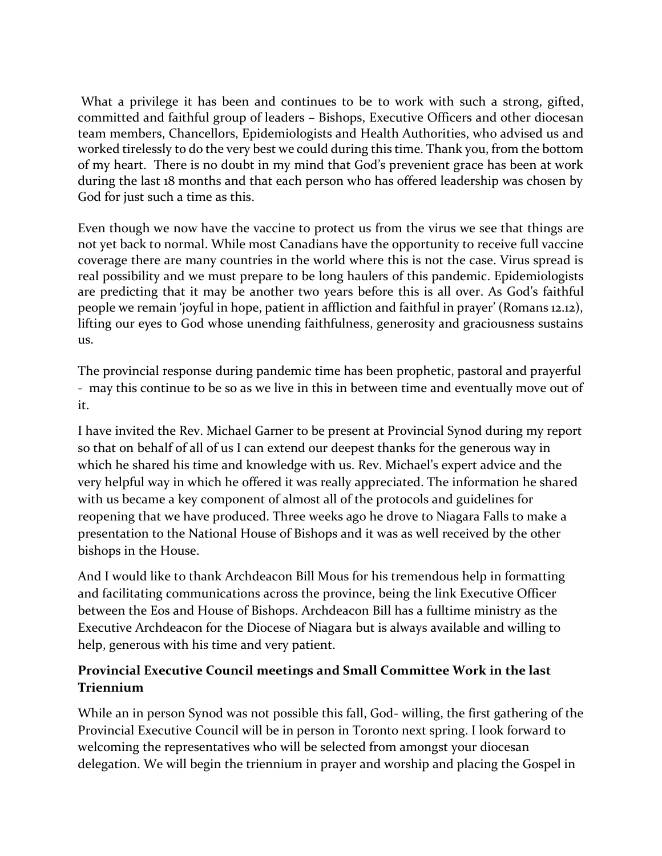What a privilege it has been and continues to be to work with such a strong, gifted, committed and faithful group of leaders – Bishops, Executive Officers and other diocesan team members, Chancellors, Epidemiologists and Health Authorities, who advised us and worked tirelessly to do the very best we could during this time. Thank you, from the bottom of my heart. There is no doubt in my mind that God's prevenient grace has been at work during the last 18 months and that each person who has offered leadership was chosen by God for just such a time as this.

Even though we now have the vaccine to protect us from the virus we see that things are not yet back to normal. While most Canadians have the opportunity to receive full vaccine coverage there are many countries in the world where this is not the case. Virus spread is real possibility and we must prepare to be long haulers of this pandemic. Epidemiologists are predicting that it may be another two years before this is all over. As God's faithful people we remain 'joyful in hope, patient in affliction and faithful in prayer' (Romans 12.12), lifting our eyes to God whose unending faithfulness, generosity and graciousness sustains us.

The provincial response during pandemic time has been prophetic, pastoral and prayerful - may this continue to be so as we live in this in between time and eventually move out of it.

I have invited the Rev. Michael Garner to be present at Provincial Synod during my report so that on behalf of all of us I can extend our deepest thanks for the generous way in which he shared his time and knowledge with us. Rev. Michael's expert advice and the very helpful way in which he offered it was really appreciated. The information he shared with us became a key component of almost all of the protocols and guidelines for reopening that we have produced. Three weeks ago he drove to Niagara Falls to make a presentation to the National House of Bishops and it was as well received by the other bishops in the House.

And I would like to thank Archdeacon Bill Mous for his tremendous help in formatting and facilitating communications across the province, being the link Executive Officer between the Eos and House of Bishops. Archdeacon Bill has a fulltime ministry as the Executive Archdeacon for the Diocese of Niagara but is always available and willing to help, generous with his time and very patient.

### **Provincial Executive Council meetings and Small Committee Work in the last Triennium**

While an in person Synod was not possible this fall, God- willing, the first gathering of the Provincial Executive Council will be in person in Toronto next spring. I look forward to welcoming the representatives who will be selected from amongst your diocesan delegation. We will begin the triennium in prayer and worship and placing the Gospel in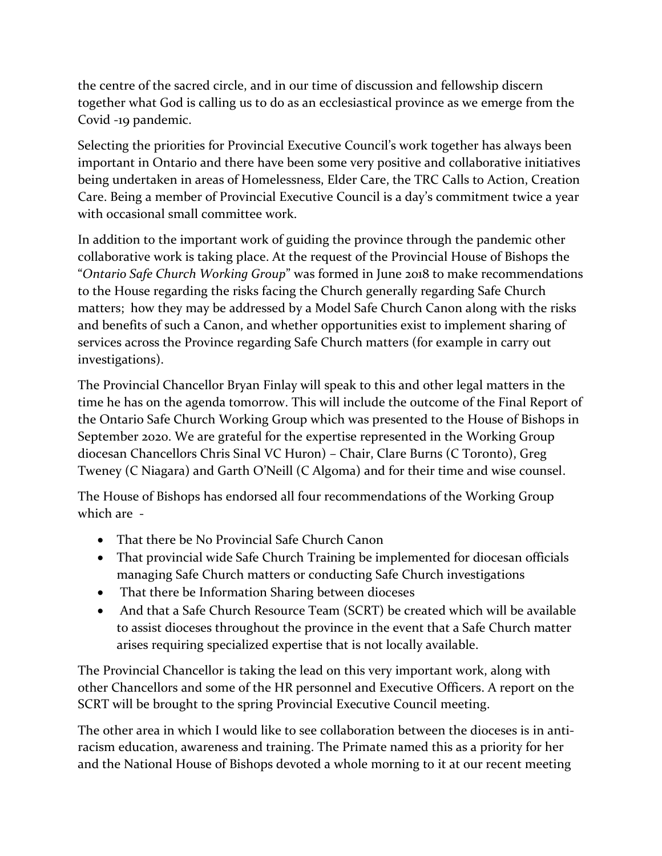the centre of the sacred circle, and in our time of discussion and fellowship discern together what God is calling us to do as an ecclesiastical province as we emerge from the Covid -19 pandemic.

Selecting the priorities for Provincial Executive Council's work together has always been important in Ontario and there have been some very positive and collaborative initiatives being undertaken in areas of Homelessness, Elder Care, the TRC Calls to Action, Creation Care. Being a member of Provincial Executive Council is a day's commitment twice a year with occasional small committee work.

In addition to the important work of guiding the province through the pandemic other collaborative work is taking place. At the request of the Provincial House of Bishops the "*Ontario Safe Church Working Group*" was formed in June 2018 to make recommendations to the House regarding the risks facing the Church generally regarding Safe Church matters; how they may be addressed by a Model Safe Church Canon along with the risks and benefits of such a Canon, and whether opportunities exist to implement sharing of services across the Province regarding Safe Church matters (for example in carry out investigations).

The Provincial Chancellor Bryan Finlay will speak to this and other legal matters in the time he has on the agenda tomorrow. This will include the outcome of the Final Report of the Ontario Safe Church Working Group which was presented to the House of Bishops in September 2020. We are grateful for the expertise represented in the Working Group diocesan Chancellors Chris Sinal VC Huron) – Chair, Clare Burns (C Toronto), Greg Tweney (C Niagara) and Garth O'Neill (C Algoma) and for their time and wise counsel.

The House of Bishops has endorsed all four recommendations of the Working Group which are -

- That there be No Provincial Safe Church Canon
- That provincial wide Safe Church Training be implemented for diocesan officials managing Safe Church matters or conducting Safe Church investigations
- That there be Information Sharing between dioceses
- And that a Safe Church Resource Team (SCRT) be created which will be available to assist dioceses throughout the province in the event that a Safe Church matter arises requiring specialized expertise that is not locally available.

The Provincial Chancellor is taking the lead on this very important work, along with other Chancellors and some of the HR personnel and Executive Officers. A report on the SCRT will be brought to the spring Provincial Executive Council meeting.

The other area in which I would like to see collaboration between the dioceses is in antiracism education, awareness and training. The Primate named this as a priority for her and the National House of Bishops devoted a whole morning to it at our recent meeting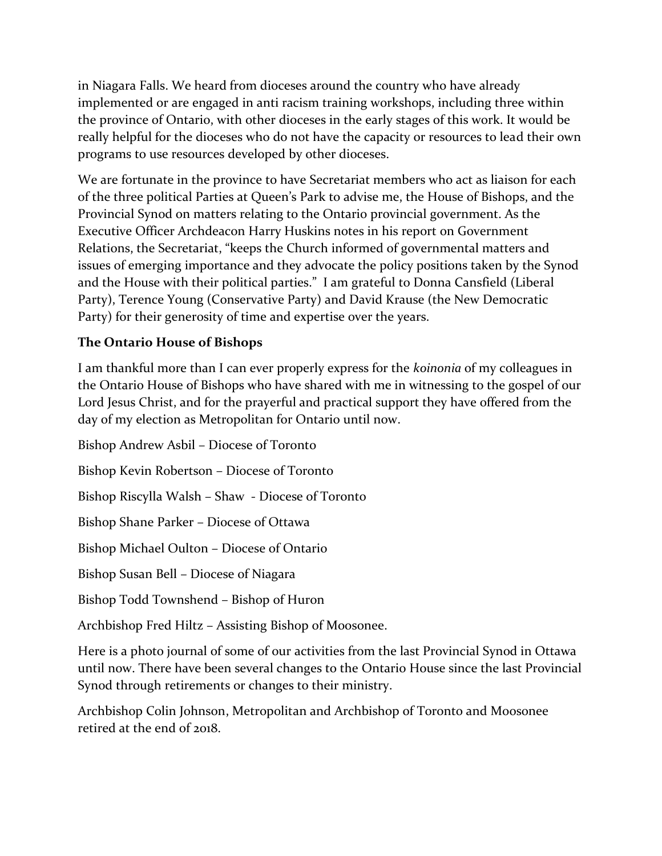in Niagara Falls. We heard from dioceses around the country who have already implemented or are engaged in anti racism training workshops, including three within the province of Ontario, with other dioceses in the early stages of this work. It would be really helpful for the dioceses who do not have the capacity or resources to lead their own programs to use resources developed by other dioceses.

We are fortunate in the province to have Secretariat members who act as liaison for each of the three political Parties at Queen's Park to advise me, the House of Bishops, and the Provincial Synod on matters relating to the Ontario provincial government. As the Executive Officer Archdeacon Harry Huskins notes in his report on Government Relations, the Secretariat, "keeps the Church informed of governmental matters and issues of emerging importance and they advocate the policy positions taken by the Synod and the House with their political parties." I am grateful to Donna Cansfield (Liberal Party), Terence Young (Conservative Party) and David Krause (the New Democratic Party) for their generosity of time and expertise over the years.

### **The Ontario House of Bishops**

I am thankful more than I can ever properly express for the *koinonia* of my colleagues in the Ontario House of Bishops who have shared with me in witnessing to the gospel of our Lord Jesus Christ, and for the prayerful and practical support they have offered from the day of my election as Metropolitan for Ontario until now.

Bishop Andrew Asbil – Diocese of Toronto Bishop Kevin Robertson – Diocese of Toronto Bishop Riscylla Walsh – Shaw - Diocese of Toronto Bishop Shane Parker – Diocese of Ottawa Bishop Michael Oulton – Diocese of Ontario Bishop Susan Bell – Diocese of Niagara Bishop Todd Townshend – Bishop of Huron Archbishop Fred Hiltz – Assisting Bishop of Moosonee.

Here is a photo journal of some of our activities from the last Provincial Synod in Ottawa until now. There have been several changes to the Ontario House since the last Provincial Synod through retirements or changes to their ministry.

Archbishop Colin Johnson, Metropolitan and Archbishop of Toronto and Moosonee retired at the end of 2018.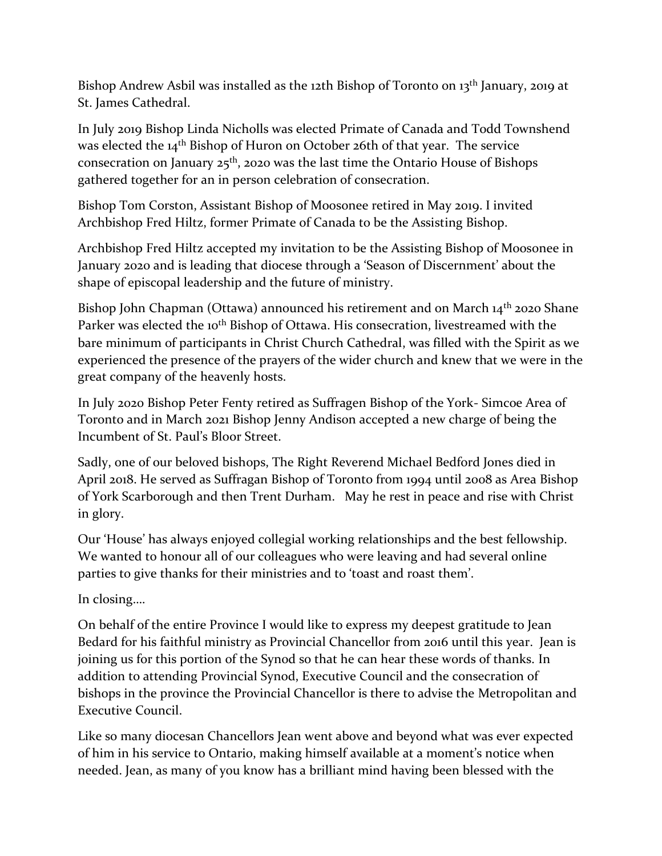Bishop Andrew Asbil was installed as the 12th Bishop of Toronto on 13<sup>th</sup> January, 2019 at St. James Cathedral.

In July 2019 Bishop Linda Nicholls was elected Primate of Canada and Todd Townshend was elected the 14<sup>th</sup> Bishop of Huron on October 26th of that year. The service consecration on January  $25<sup>th</sup>$ , 2020 was the last time the Ontario House of Bishops gathered together for an in person celebration of consecration.

Bishop Tom Corston, Assistant Bishop of Moosonee retired in May 2019. I invited Archbishop Fred Hiltz, former Primate of Canada to be the Assisting Bishop.

Archbishop Fred Hiltz accepted my invitation to be the Assisting Bishop of Moosonee in January 2020 and is leading that diocese through a 'Season of Discernment' about the shape of episcopal leadership and the future of ministry.

Bishop John Chapman (Ottawa) announced his retirement and on March 14<sup>th</sup> 2020 Shane Parker was elected the 10<sup>th</sup> Bishop of Ottawa. His consecration, livestreamed with the bare minimum of participants in Christ Church Cathedral, was filled with the Spirit as we experienced the presence of the prayers of the wider church and knew that we were in the great company of the heavenly hosts.

In July 2020 Bishop Peter Fenty retired as Suffragen Bishop of the York- Simcoe Area of Toronto and in March 2021 Bishop Jenny Andison accepted a new charge of being the Incumbent of St. Paul's Bloor Street.

Sadly, one of our beloved bishops, The Right Reverend Michael Bedford Jones died in April 2018. He served as Suffragan Bishop of Toronto from 1994 until 2008 as Area Bishop of York Scarborough and then Trent Durham. May he rest in peace and rise with Christ in glory.

Our 'House' has always enjoyed collegial working relationships and the best fellowship. We wanted to honour all of our colleagues who were leaving and had several online parties to give thanks for their ministries and to 'toast and roast them'.

In closing….

On behalf of the entire Province I would like to express my deepest gratitude to Jean Bedard for his faithful ministry as Provincial Chancellor from 2016 until this year. Jean is joining us for this portion of the Synod so that he can hear these words of thanks. In addition to attending Provincial Synod, Executive Council and the consecration of bishops in the province the Provincial Chancellor is there to advise the Metropolitan and Executive Council.

Like so many diocesan Chancellors Jean went above and beyond what was ever expected of him in his service to Ontario, making himself available at a moment's notice when needed. Jean, as many of you know has a brilliant mind having been blessed with the